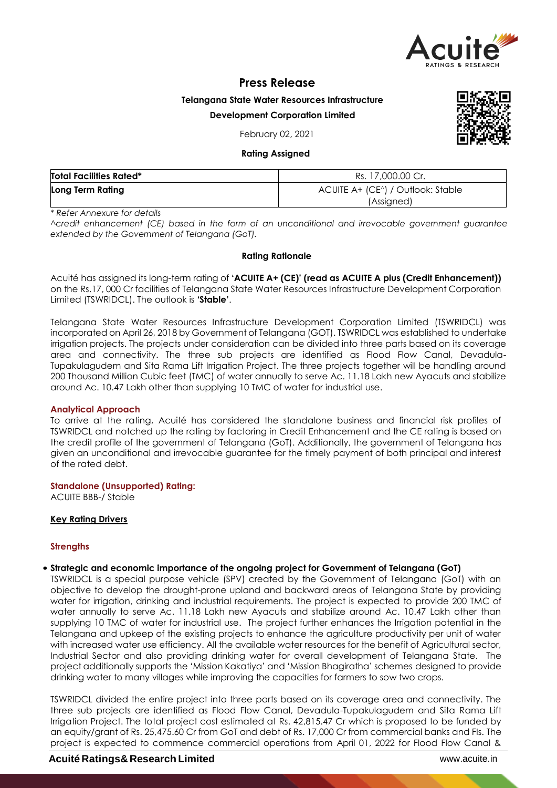

# **Press Release**

**Telangana State Water Resources Infrastructure**

### **Development Corporation Limited**

February 02, 2021

#### **Rating Assigned**

| <b>Total Facilities Rated*</b> | Rs. 17,000.00 Cr.                 |  |  |
|--------------------------------|-----------------------------------|--|--|
| Long Term Rating               | ACUITE A+ (CE^) / Outlook: Stable |  |  |
|                                | (Assigned)                        |  |  |

*\* Refer Annexure for details*

*^credit enhancement (CE) based in the form of an unconditional and irrevocable government guarantee extended by the Government of Telangana (GoT).*

#### **Rating Rationale**

Acuité has assigned its long-term rating of **'ACUITE A+ (CE)' (read as ACUITE A plus (Credit Enhancement))**  on the Rs.17, 000 Cr facilities of Telangana State Water Resources Infrastructure Development Corporation Limited (TSWRIDCL). The outlook is **'Stable'**.

Telangana State Water Resources Infrastructure Development Corporation Limited (TSWRIDCL) was incorporated on April 26, 2018 by Government of Telangana (GOT). TSWRIDCL was established to undertake irrigation projects. The projects under consideration can be divided into three parts based on its coverage area and connectivity. The three sub projects are identified as Flood Flow Canal, Devadula-Tupakulagudem and Sita Rama Lift Irrigation Project. The three projects together will be handling around 200 Thousand Million Cubic feet (TMC) of water annually to serve Ac. 11.18 Lakh new Ayacuts and stabilize around Ac. 10.47 Lakh other than supplying 10 TMC of water for industrial use.

### **Analytical Approach**

To arrive at the rating, Acuité has considered the standalone business and financial risk profiles of TSWRIDCL and notched up the rating by factoring in Credit Enhancement and the CE rating is based on the credit profile of the government of Telangana (GoT). Additionally, the government of Telangana has given an unconditional and irrevocable guarantee for the timely payment of both principal and interest of the rated debt.

### **Standalone (Unsupported) Rating:**

ACUITE BBB-/ Stable

### **Key Rating Drivers**

### **Strengths**

### • **Strategic and economic importance of the ongoing project for Government of Telangana (GoT)**

TSWRIDCL is a special purpose vehicle (SPV) created by the Government of Telangana (GoT) with an objective to develop the drought-prone upland and backward areas of Telangana State by providing water for irrigation, drinking and industrial requirements. The project is expected to provide 200 TMC of water annually to serve Ac. 11.18 Lakh new Ayacuts and stabilize around Ac. 10.47 Lakh other than supplying 10 TMC of water for industrial use. The project further enhances the Irrigation potential in the Telangana and upkeep of the existing projects to enhance the agriculture productivity per unit of water with increased water use efficiency. All the available water resources for the benefit of Agricultural sector, Industrial Sector and also providing drinking water for overall development of Telangana State. The project additionally supports the 'Mission Kakatiya' and 'Mission Bhagiratha' schemes designed to provide drinking water to many villages while improving the capacities for farmers to sow two crops.

TSWRIDCL divided the entire project into three parts based on its coverage area and connectivity. The three sub projects are identified as Flood Flow Canal, Devadula-Tupakulagudem and Sita Rama Lift Irrigation Project. The total project cost estimated at Rs. 42,815.47 Cr which is proposed to be funded by an equity/grant of Rs. 25,475.60 Cr from GoT and debt of Rs. 17,000 Cr from commercial banks and FIs. The project is expected to commence commercial operations from April 01, 2022 for Flood Flow Canal &

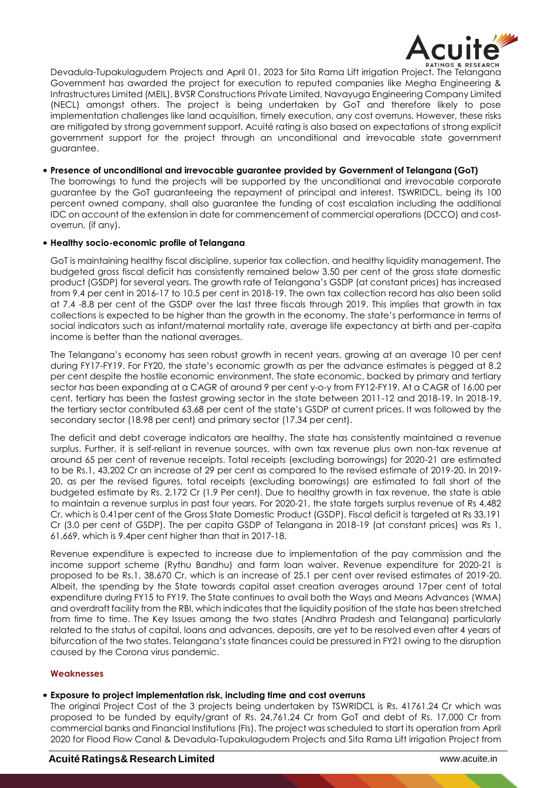

Devadula-Tupakulagudem Projects and April 01, 2023 for Sita Rama Lift irrigation Project. The Telangana Government has awarded the project for execution to reputed companies like Megha Engineering & Infrastructures Limited (MEIL), BVSR Constructions Private Limited, Navayuga Engineering Company Limited (NECL) amongst others. The project is being undertaken by GoT and therefore likely to pose implementation challenges like land acquisition, timely execution, any cost overruns. However, these risks are mitigated by strong government support. Acuité rating is also based on expectations of strong explicit government support for the project through an unconditional and irrevocable state government guarantee.

• **Presence of unconditional and irrevocable guarantee provided by Government of Telangana (GoT)** The borrowings to fund the projects will be supported by the unconditional and irrevocable corporate guarantee by the GoT guaranteeing the repayment of principal and interest. TSWRIDCL, being its 100 percent owned company, shall also guarantee the funding of cost escalation including the additional IDC on account of the extension in date for commencement of commercial operations (DCCO) and costoverrun, (if any).

# • **Healthy socio-economic profile of Telangana**

GoT is maintaining healthy fiscal discipline, superior tax collection, and healthy liquidity management. The budgeted gross fiscal deficit has consistently remained below 3.50 per cent of the gross state domestic product (GSDP) for several years. The growth rate of Telangana's GSDP (at constant prices) has increased from 9.4 per cent in 2016-17 to 10.5 per cent in 2018-19. The own tax collection record has also been solid at 7.4 -8.8 per cent of the GSDP over the last three fiscals through 2019. This implies that growth in tax collections is expected to be higher than the growth in the economy. The state's performance in terms of social indicators such as infant/maternal mortality rate, average life expectancy at birth and per-capita income is better than the national averages.

The Telangana's economy has seen robust growth in recent years, growing at an average 10 per cent during FY17-FY19. For FY20, the state's economic growth as per the advance estimates is pegged at 8.2 per cent despite the hostile economic environment. The state economic, backed by primary and tertiary sector has been expanding at a CAGR of around 9 per cent y-o-y from FY12-FY19. At a CAGR of 16.00 per cent, tertiary has been the fastest growing sector in the state between 2011-12 and 2018-19. In 2018-19, the tertiary sector contributed 63.68 per cent of the state's GSDP at current prices. It was followed by the secondary sector (18.98 per cent) and primary sector (17.34 per cent).

The deficit and debt coverage indicators are healthy. The state has consistently maintained a revenue surplus. Further, it is self-reliant in revenue sources, with own tax revenue plus own non-tax revenue at around 65 per cent of revenue receipts. Total receipts (excluding borrowings) for 2020-21 are estimated to be Rs.1, 43,202 Cr an increase of 29 per cent as compared to the revised estimate of 2019-20. In 2019- 20, as per the revised figures, total receipts (excluding borrowings) are estimated to fall short of the budgeted estimate by Rs. 2,172 Cr (1.9 Per cent). Due to healthy growth in tax revenue, the state is able to maintain a revenue surplus in past four years. For 2020-21, the state targets surplus revenue of Rs 4,482 Cr, which is 0.41per cent of the Gross State Domestic Product (GSDP). Fiscal deficit is targeted at Rs 33,191 Cr (3.0 per cent of GSDP). The per capita GSDP of Telangana in 2018-19 (at constant prices) was Rs 1, 61,669, which is 9.4per cent higher than that in 2017-18.

Revenue expenditure is expected to increase due to implementation of the pay commission and the income support scheme (Rythu Bandhu) and farm loan waiver. Revenue expenditure for 2020-21 is proposed to be Rs.1, 38,670 Cr, which is an increase of 25.1 per cent over revised estimates of 2019-20. Albeit, the spending by the State towards capital asset creation averages around 17per cent of total expenditure during FY15 to FY19. The State continues to avail both the Ways and Means Advances (WMA) and overdraft facility from the RBI, which indicates that the liquidity position of the state has been stretched from time to time. The Key Issues among the two states (Andhra Pradesh and Telangana) particularly related to the status of capital, loans and advances, deposits, are yet to be resolved even after 4 years of bifurcation of the two states. Telangana's state finances could be pressured in FY21 owing to the disruption caused by the Corona virus pandemic.

### **Weaknesses**

### • **Exposure to project implementation risk, including time and cost overruns**

The original Project Cost of the 3 projects being undertaken by TSWRIDCL is Rs. 41761.24 Cr which was proposed to be funded by equity/grant of Rs. 24,761.24 Cr from GoT and debt of Rs. 17,000 Cr from commercial banks and Financial Institutions (FIs). The project was scheduled to start its operation from April 2020 for Flood Flow Canal & Devadula-Tupakulagudem Projects and Sita Rama Lift irrigation Project from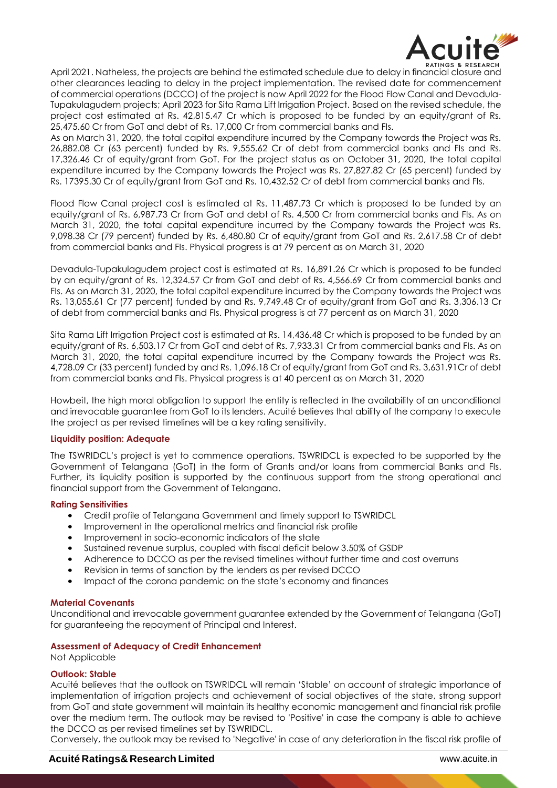

April 2021. Natheless, the projects are behind the estimated schedule due to delay in financial closure and other clearances leading to delay in the project implementation. The revised date for commencement of commercial operations (DCCO) of the project is now April 2022 for the Flood Flow Canal and Devadula-Tupakulagudem projects; April 2023 for Sita Rama Lift Irrigation Project. Based on the revised schedule, the project cost estimated at Rs. 42,815.47 Cr which is proposed to be funded by an equity/grant of Rs. 25,475.60 Cr from GoT and debt of Rs. 17,000 Cr from commercial banks and FIs.

As on March 31, 2020, the total capital expenditure incurred by the Company towards the Project was Rs. 26,882.08 Cr (63 percent) funded by Rs. 9,555.62 Cr of debt from commercial banks and FIs and Rs. 17,326.46 Cr of equity/grant from GoT. For the project status as on October 31, 2020, the total capital expenditure incurred by the Company towards the Project was Rs. 27,827.82 Cr (65 percent) funded by Rs. 17395.30 Cr of equity/grant from GoT and Rs. 10,432.52 Cr of debt from commercial banks and FIs.

Flood Flow Canal project cost is estimated at Rs. 11,487.73 Cr which is proposed to be funded by an equity/grant of Rs. 6,987.73 Cr from GoT and debt of Rs. 4,500 Cr from commercial banks and FIs. As on March 31, 2020, the total capital expenditure incurred by the Company towards the Project was Rs. 9,098.38 Cr (79 percent) funded by Rs. 6,480.80 Cr of equity/grant from GoT and Rs. 2,617.58 Cr of debt from commercial banks and FIs. Physical progress is at 79 percent as on March 31, 2020

Devadula-Tupakulagudem project cost is estimated at Rs. 16,891.26 Cr which is proposed to be funded by an equity/grant of Rs. 12,324.57 Cr from GoT and debt of Rs. 4,566.69 Cr from commercial banks and FIs. As on March 31, 2020, the total capital expenditure incurred by the Company towards the Project was Rs. 13,055.61 Cr (77 percent) funded by and Rs. 9,749.48 Cr of equity/grant from GoT and Rs. 3,306.13 Cr of debt from commercial banks and FIs. Physical progress is at 77 percent as on March 31, 2020

Sita Rama Lift Irrigation Project cost is estimated at Rs. 14,436.48 Cr which is proposed to be funded by an equity/grant of Rs. 6,503.17 Cr from GoT and debt of Rs. 7,933.31 Cr from commercial banks and FIs. As on March 31, 2020, the total capital expenditure incurred by the Company towards the Project was Rs. 4,728.09 Cr (33 percent) funded by and Rs. 1,096.18 Cr of equity/grant from GoT and Rs. 3,631.91Cr of debt from commercial banks and FIs. Physical progress is at 40 percent as on March 31, 2020

Howbeit, the high moral obligation to support the entity is reflected in the availability of an unconditional and irrevocable guarantee from GoT to its lenders. Acuité believes that ability of the company to execute the project as per revised timelines will be a key rating sensitivity.

### **Liquidity position: Adequate**

The TSWRIDCL's project is yet to commence operations. TSWRIDCL is expected to be supported by the Government of Telangana (GoT) in the form of Grants and/or loans from commercial Banks and FIs. Further, its liquidity position is supported by the continuous support from the strong operational and financial support from the Government of Telangana.

### **Rating Sensitivities**

- Credit profile of Telangana Government and timely support to TSWRIDCL
- Improvement in the operational metrics and financial risk profile
- Improvement in socio-economic indicators of the state
- Sustained revenue surplus, coupled with fiscal deficit below 3.50% of GSDP
- Adherence to DCCO as per the revised timelines without further time and cost overruns
- Revision in terms of sanction by the lenders as per revised DCCO
- Impact of the corona pandemic on the state's economy and finances

### **Material Covenants**

Unconditional and irrevocable government guarantee extended by the Government of Telangana (GoT) for guaranteeing the repayment of Principal and Interest.

### **Assessment of Adequacy of Credit Enhancement**

Not Applicable

### **Outlook: Stable**

Acuité believes that the outlook on TSWRIDCL will remain 'Stable' on account of strategic importance of implementation of irrigation projects and achievement of social objectives of the state, strong support from GoT and state government will maintain its healthy economic management and financial risk profile over the medium term. The outlook may be revised to 'Positive' in case the company is able to achieve the DCCO as per revised timelines set by TSWRIDCL.

Conversely, the outlook may be revised to 'Negative' in case of any deterioration in the fiscal risk profile of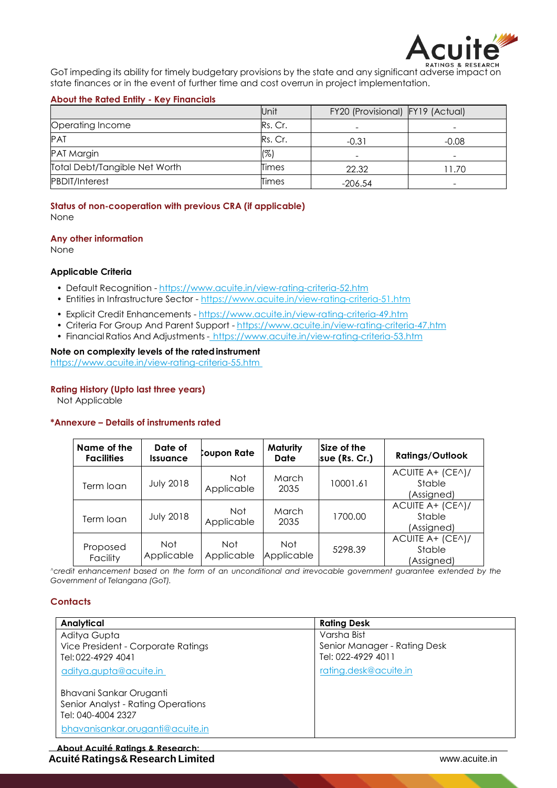

GoT impeding its ability for timely budgetary provisions by the state and any significant adverse impact on state finances or in the event of further time and cost overrun in project implementation.

# **About the Rated Entity - Key Financials**

|                               | Unit    | FY20 (Provisional) FY19 (Actual) |                          |
|-------------------------------|---------|----------------------------------|--------------------------|
| Operating Income              | Rs. Cr. |                                  |                          |
| <b>PAT</b>                    | Rs. Cr. | $-0.31$                          | $-0.08$                  |
| <b>PAT Margin</b>             | (%)     | $\overline{\phantom{0}}$         | $\overline{\phantom{a}}$ |
| Total Debt/Tangible Net Worth | Times   | 22.32                            | 11.70                    |
| <b>PBDIT/Interest</b>         | Times   | $-206.54$                        |                          |

**Status of non-cooperation with previous CRA (if applicable)** None

### **Any other information**

None

# **Applicable Criteria**

- Default Recognition https://www.acuite.in/view-rating-criteria-52.htm
- Entities in Infrastructure Sector https://www.acuite.in/view-rating-criteria-51.htm
- Explicit Credit Enhancements https://www.acuite.in/view-rating-criteria-49.htm
- Criteria For Group And Parent Support https://www.acuite.in/view-rating-criteria-47.htm
- Financial Ratios And Adjustments https://www.acuite.in/view-rating-criteria-53.htm

### **Note on complexity levels of the ratedinstrument**

https://www.acuite.in/view-rating-criteria-55.htm

## **Rating History (Upto last three years)**

Not Applicable

### **\*Annexure – Details of instruments rated**

| Name of the<br><b>Facilities</b> | Date of<br><b>Issuance</b> | Coupon Rate              | Maturity<br><b>Date</b>  | Size of the<br>sue (Rs. Cr.) | <b>Ratings/Outlook</b>                   |
|----------------------------------|----------------------------|--------------------------|--------------------------|------------------------------|------------------------------------------|
| Term loan                        | <b>July 2018</b>           | Not<br>Applicable        | <b>March</b><br>2035     | 10001.61                     | ACUITE A+ (CEA)/<br>Stable<br>(Assigned) |
| Term loan                        | <b>July 2018</b>           | Not<br>Applicable        | March<br>2035            | 1700.00                      | ACUITE A+ (CEA)/<br>Stable<br>(Assigned) |
| Proposed<br>Facility             | Not<br>Applicable          | <b>Not</b><br>Applicable | <b>Not</b><br>Applicable | 5298.39                      | ACUITE A+ (CEA)/<br>Stable<br>(Assigned) |

*^credit enhancement based on the form of an unconditional and irrevocable government guarantee extended by the Government of Telangana (GoT).*

### **Contacts**

| Analytical                         | <b>Rating Desk</b>           |
|------------------------------------|------------------------------|
| Aditya Gupta                       | Varsha Bist                  |
| Vice President - Corporate Ratings | Senior Manager - Rating Desk |
| Tel: 022-4929 4041                 | Tel: 022-4929 4011           |
| aditya.gupta@acuite.in             | rating.desk@acuite.in        |
| Bhavani Sankar Oruganti            |                              |
| Senior Analyst - Rating Operations |                              |
| Tel: 040-4004 2327                 |                              |
| bhavanisankar.oruganti@acuite.in   |                              |